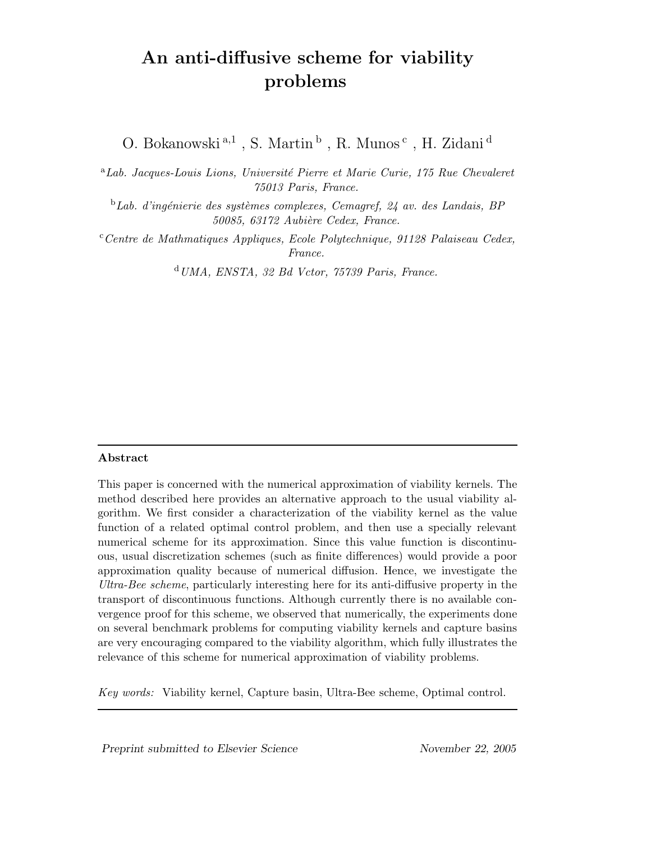# An anti-diffusive scheme for viability problems

O. Bokanowski $^{\rm a,1}$ , S. Martin $^{\rm b}$ , R. Munos $^{\rm c}$ , H. Zidani $^{\rm d}$ 

 $a<sup>a</sup>Lab.$  Jacques-Louis Lions, Université Pierre et Marie Curie, 175 Rue Chevaleret 75013 Paris, France.

 $b$ Lab. d'ingénierie des systèmes complexes, Cemagref, 24 av. des Landais, BP 50085, 63172 Aubière Cedex, France.

 $c^c$ Centre de Mathmatiques Appliques, Ecole Polytechnique, 91128 Palaiseau Cedex, France.

 $d$ UMA, ENSTA, 32 Bd Vctor, 75739 Paris, France.

## Abstract

This paper is concerned with the numerical approximation of viability kernels. The method described here provides an alternative approach to the usual viability algorithm. We first consider a characterization of the viability kernel as the value function of a related optimal control problem, and then use a specially relevant numerical scheme for its approximation. Since this value function is discontinuous, usual discretization schemes (such as finite differences) would provide a poor approximation quality because of numerical diffusion. Hence, we investigate the Ultra-Bee scheme, particularly interesting here for its anti-diffusive property in the transport of discontinuous functions. Although currently there is no available convergence proof for this scheme, we observed that numerically, the experiments done on several benchmark problems for computing viability kernels and capture basins are very encouraging compared to the viability algorithm, which fully illustrates the relevance of this scheme for numerical approximation of viability problems.

Key words: Viability kernel, Capture basin, Ultra-Bee scheme, Optimal control.

Preprint submitted to Elsevier Science November 22, 2005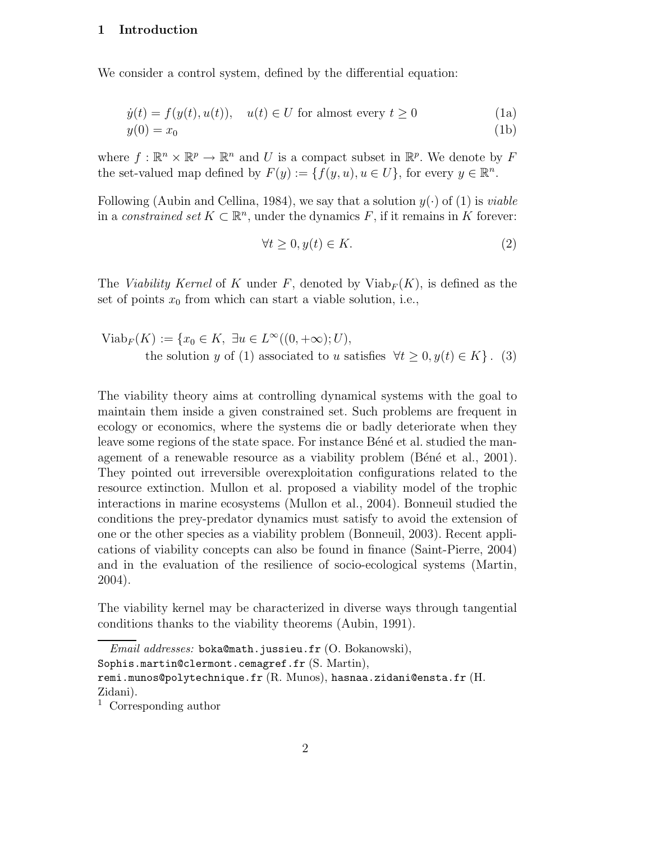#### 1 Introduction

We consider a control system, defined by the differential equation:

$$
\dot{y}(t) = f(y(t), u(t)), \quad u(t) \in U \text{ for almost every } t \ge 0
$$
\n
$$
y(0) = x_0
$$
\n(1a)

where  $f: \mathbb{R}^n \times \mathbb{R}^p \to \mathbb{R}^n$  and U is a compact subset in  $\mathbb{R}^p$ . We denote by F the set-valued map defined by  $F(y) := \{f(y, u), u \in U\}$ , for every  $y \in \mathbb{R}^n$ .

Following (Aubin and Cellina, 1984), we say that a solution  $y(\cdot)$  of (1) is *viable* in a constrained set  $K \subset \mathbb{R}^n$ , under the dynamics F, if it remains in K forever:

$$
\forall t \ge 0, y(t) \in K. \tag{2}
$$

The *Viability Kernel* of K under F, denoted by  $Viab_F(K)$ , is defined as the set of points  $x_0$  from which can start a viable solution, i.e.,

$$
Viab_F(K) := \{x_0 \in K, \ \exists u \in L^{\infty}((0, +\infty); U),
$$
  
the solution y of (1) associated to u satisfies  $\forall t \ge 0, y(t) \in K\}$ . (3)

The viability theory aims at controlling dynamical systems with the goal to maintain them inside a given constrained set. Such problems are frequent in ecology or economics, where the systems die or badly deteriorate when they leave some regions of the state space. For instance Béné et al. studied the management of a renewable resource as a viability problem  $(B\acute{e}n\acute{e}e^{\dagger}$  et al., 2001). They pointed out irreversible overexploitation configurations related to the resource extinction. Mullon et al. proposed a viability model of the trophic interactions in marine ecosystems (Mullon et al., 2004). Bonneuil studied the conditions the prey-predator dynamics must satisfy to avoid the extension of one or the other species as a viability problem (Bonneuil, 2003). Recent applications of viability concepts can also be found in finance (Saint-Pierre, 2004) and in the evaluation of the resilience of socio-ecological systems (Martin, 2004).

The viability kernel may be characterized in diverse ways through tangential conditions thanks to the viability theorems (Aubin, 1991).

 $Email \ addresses: \ \texttt{boka@math}.$  jussieu.fr  $(O. \ \texttt{Bokanowski}).$ Sophis.martin@clermont.cemagref.fr (S. Martin), remi.munos@polytechnique.fr (R. Munos), hasnaa.zidani@ensta.fr (H. Zidani).

<sup>1</sup> Corresponding author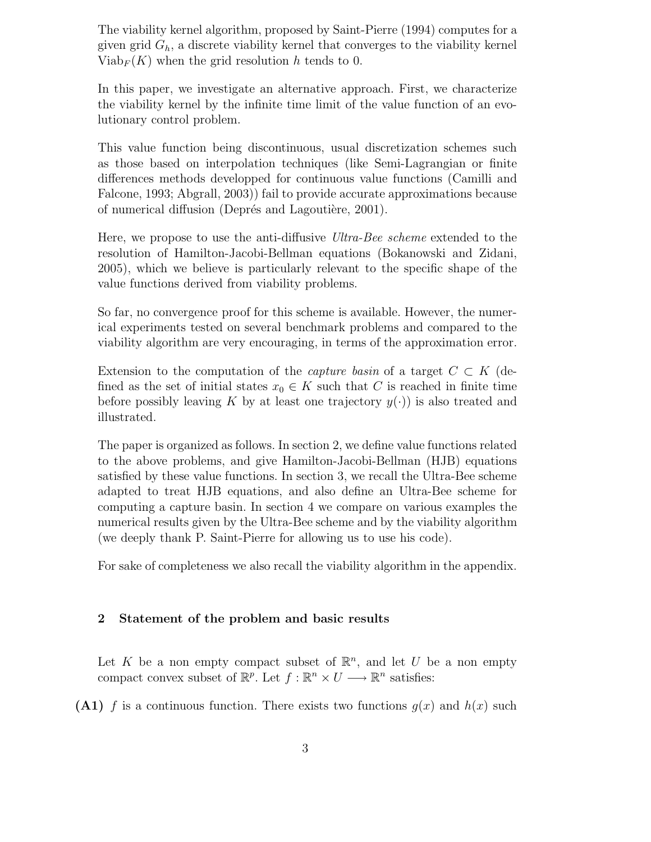The viability kernel algorithm, proposed by Saint-Pierre (1994) computes for a given grid  $G_h$ , a discrete viability kernel that converges to the viability kernel  $Viab_F(K)$  when the grid resolution h tends to 0.

In this paper, we investigate an alternative approach. First, we characterize the viability kernel by the infinite time limit of the value function of an evolutionary control problem.

This value function being discontinuous, usual discretization schemes such as those based on interpolation techniques (like Semi-Lagrangian or finite differences methods developped for continuous value functions (Camilli and Falcone, 1993; Abgrall, 2003)) fail to provide accurate approximations because of numerical diffusion (Deprés and Lagoutière, 2001).

Here, we propose to use the anti-diffusive Ultra-Bee scheme extended to the resolution of Hamilton-Jacobi-Bellman equations (Bokanowski and Zidani, 2005), which we believe is particularly relevant to the specific shape of the value functions derived from viability problems.

So far, no convergence proof for this scheme is available. However, the numerical experiments tested on several benchmark problems and compared to the viability algorithm are very encouraging, in terms of the approximation error.

Extension to the computation of the *capture basin* of a target  $C \subset K$  (defined as the set of initial states  $x_0 \in K$  such that C is reached in finite time before possibly leaving K by at least one trajectory  $y(\cdot)$  is also treated and illustrated.

The paper is organized as follows. In section 2, we define value functions related to the above problems, and give Hamilton-Jacobi-Bellman (HJB) equations satisfied by these value functions. In section 3, we recall the Ultra-Bee scheme adapted to treat HJB equations, and also define an Ultra-Bee scheme for computing a capture basin. In section 4 we compare on various examples the numerical results given by the Ultra-Bee scheme and by the viability algorithm (we deeply thank P. Saint-Pierre for allowing us to use his code).

For sake of completeness we also recall the viability algorithm in the appendix.

## 2 Statement of the problem and basic results

Let K be a non empty compact subset of  $\mathbb{R}^n$ , and let U be a non empty compact convex subset of  $\mathbb{R}^p$ . Let  $f : \mathbb{R}^n \times U \longrightarrow \mathbb{R}^n$  satisfies:

(A1) f is a continuous function. There exists two functions  $q(x)$  and  $h(x)$  such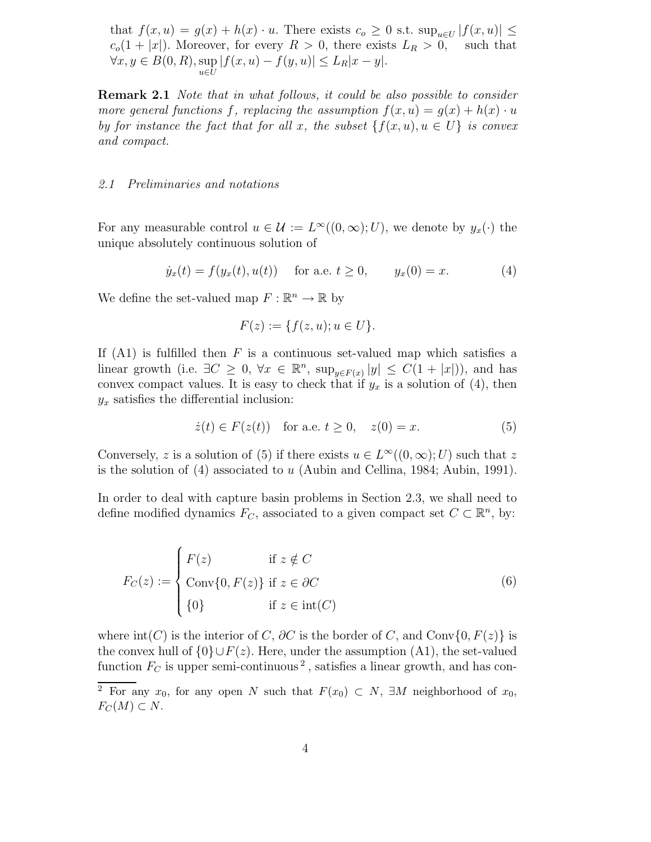that  $f(x, u) = g(x) + h(x) \cdot u$ . There exists  $c_o \geq 0$  s.t.  $\sup_{u \in U} |f(x, u)| \leq$  $c_0(1+|x|)$ . Moreover, for every  $R > 0$ , there exists  $L_R > 0$ , such that  $\forall x, y \in B(0, R), \sup |f(x, u) - f(y, u)| \le L_R |x - y|.$  $u\in\bar{U}$ 

**Remark 2.1** Note that in what follows, it could be also possible to consider more general functions f, replacing the assumption  $f(x, u) = g(x) + h(x) \cdot u$ by for instance the fact that for all x, the subset  $\{f(x, u), u \in U\}$  is convex and compact.

#### 2.1 Preliminaries and notations

For any measurable control  $u \in \mathcal{U} := L^{\infty}((0,\infty);U)$ , we denote by  $y_x(\cdot)$  the unique absolutely continuous solution of

$$
\dot{y}_x(t) = f(y_x(t), u(t))
$$
 for a.e.  $t \ge 0$ ,  $y_x(0) = x$ . (4)

We define the set-valued map  $F: \mathbb{R}^n \to \mathbb{R}$  by

$$
F(z) := \{ f(z, u); u \in U \}.
$$

If  $(A1)$  is fulfilled then F is a continuous set-valued map which satisfies a linear growth (i.e.  $\exists C \geq 0, \forall x \in \mathbb{R}^n$ ,  $\sup_{y \in F(x)} |y| \leq C(1 + |x|)$ ), and has convex compact values. It is easy to check that if  $y_x$  is a solution of (4), then  $y_x$  satisfies the differential inclusion:

$$
\dot{z}(t) \in F(z(t))
$$
 for a.e.  $t \ge 0$ ,  $z(0) = x$ . (5)

Conversely, z is a solution of (5) if there exists  $u \in L^{\infty}((0,\infty);U)$  such that z is the solution of (4) associated to u (Aubin and Cellina, 1984; Aubin, 1991).

In order to deal with capture basin problems in Section 2.3, we shall need to define modified dynamics  $F_C$ , associated to a given compact set  $C \subset \mathbb{R}^n$ , by:

$$
F_C(z) := \begin{cases} F(z) & \text{if } z \notin C \\ \text{Conv}\{0, F(z)\} & \text{if } z \in \partial C \\ \{0\} & \text{if } z \in \text{int}(C) \end{cases}
$$
 (6)

where  $\text{int}(C)$  is the interior of C,  $\partial C$  is the border of C, and Conv{0,  $F(z)$ } is the convex hull of  ${0\} \cup F(z)$ . Here, under the assumption (A1), the set-valued function  $F_C$  is upper semi-continuous<sup>2</sup>, satisfies a linear growth, and has con-

<sup>&</sup>lt;sup>2</sup> For any  $x_0$ , for any open N such that  $F(x_0) \subset N$ ,  $\exists M$  neighborhood of  $x_0$ ,  $F_C(M) \subset N$ .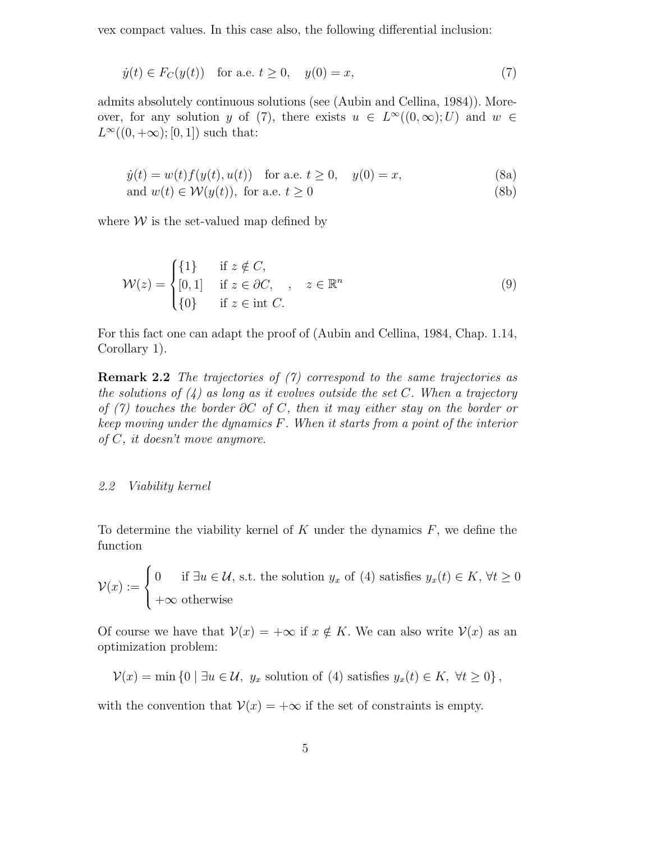vex compact values. In this case also, the following differential inclusion:

$$
\dot{y}(t) \in F_C(y(t))
$$
 for a.e.  $t \ge 0$ ,  $y(0) = x$ , (7)

admits absolutely continuous solutions (see (Aubin and Cellina, 1984)). Moreover, for any solution y of (7), there exists  $u \in L^{\infty}((0,\infty);U)$  and  $w \in$  $L^{\infty}((0, +\infty); [0, 1])$  such that:

$$
\dot{y}(t) = w(t)f(y(t), u(t))
$$
 for a.e.  $t \ge 0$ ,  $y(0) = x$ , (8a)

and  $w(t) \in \mathcal{W}(y(t))$ , for a.e.  $t \ge 0$  (8b)

where  $W$  is the set-valued map defined by

$$
\mathcal{W}(z) = \begin{cases} \{1\} & \text{if } z \notin C, \\ [0,1] & \text{if } z \in \partial C, \\ \{0\} & \text{if } z \in \text{int } C. \end{cases} \quad z \in \mathbb{R}^n \tag{9}
$$

For this fact one can adapt the proof of (Aubin and Cellina, 1984, Chap. 1.14, Corollary 1).

Remark 2.2 The trajectories of (7) correspond to the same trajectories as the solutions of  $(4)$  as long as it evolves outside the set C. When a trajectory of (7) touches the border  $\partial C$  of C, then it may either stay on the border or keep moving under the dynamics F. When it starts from a point of the interior of C, it doesn't move anymore.

### 2.2 Viability kernel

To determine the viability kernel of  $K$  under the dynamics  $F$ , we define the function

$$
\mathcal{V}(x) := \begin{cases} 0 & \text{if } \exists u \in \mathcal{U}, \text{ s.t. the solution } y_x \text{ of (4) satisfies } y_x(t) \in K, \forall t \ge 0 \\ +\infty \text{ otherwise} \end{cases}
$$

Of course we have that  $V(x) = +\infty$  if  $x \notin K$ . We can also write  $V(x)$  as an optimization problem:

 $\mathcal{V}(x) = \min\left\{0 \mid \exists u \in \mathcal{U}, y_x \text{ solution of (4) satisfies } y_x(t) \in K, \forall t \geq 0\right\},\$ 

with the convention that  $V(x) = +\infty$  if the set of constraints is empty.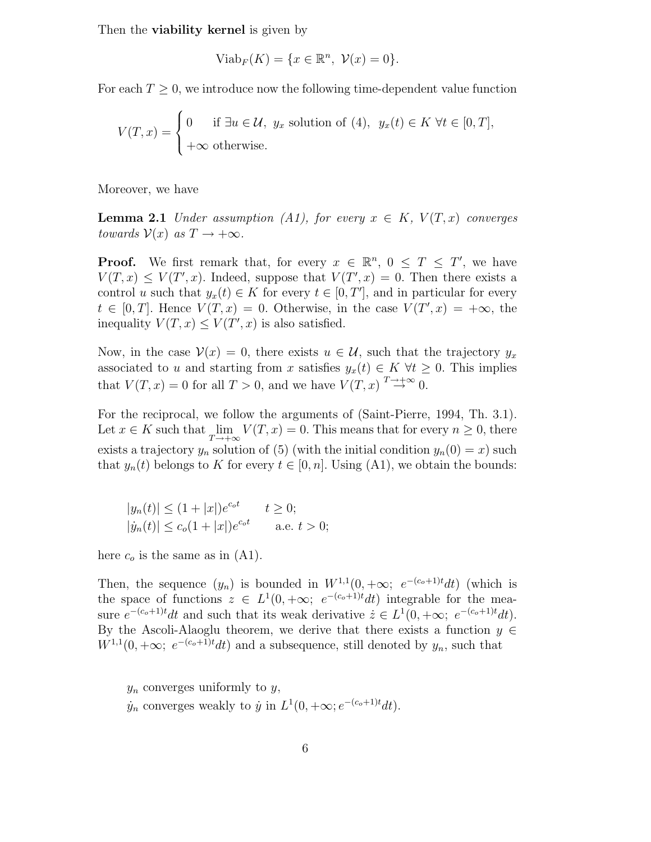Then the **viability kernel** is given by

$$
Viab_F(K) = \{x \in \mathbb{R}^n, \ \mathcal{V}(x) = 0\}.
$$

For each  $T \geq 0$ , we introduce now the following time-dependent value function

$$
V(T, x) = \begin{cases} 0 & \text{if } \exists u \in \mathcal{U}, y_x \text{ solution of (4)}, y_x(t) \in K \,\forall t \in [0, T], \\ +\infty \text{ otherwise.} \end{cases}
$$

Moreover, we have

**Lemma 2.1** Under assumption (A1), for every  $x \in K$ ,  $V(T, x)$  converges towards  $\mathcal{V}(x)$  as  $T \to +\infty$ .

**Proof.** We first remark that, for every  $x \in \mathbb{R}^n$ ,  $0 \leq T \leq T'$ , we have  $V(T, x) \leq V(T', x)$ . Indeed, suppose that  $V(T', x) = 0$ . Then there exists a control u such that  $y_x(t) \in K$  for every  $t \in [0, T']$ , and in particular for every  $t \in [0, T]$ . Hence  $V(T, x) = 0$ . Otherwise, in the case  $V(T', x) = +\infty$ , the inequality  $V(T, x) \leq V(T', x)$  is also satisfied.

Now, in the case  $V(x) = 0$ , there exists  $u \in \mathcal{U}$ , such that the trajectory  $y_x$ associated to u and starting from x satisfies  $y_x(t) \in K \ \forall t \geq 0$ . This implies that  $V(T, x) = 0$  for all  $T > 0$ , and we have  $V(T, x) \stackrel{T \to +\infty}{\to} 0$ .

For the reciprocal, we follow the arguments of (Saint-Pierre, 1994, Th. 3.1). Let  $x \in K$  such that  $\lim_{T \to +\infty} V(T, x) = 0$ . This means that for every  $n \geq 0$ , there exists a trajectory  $y_n$  solution of (5) (with the initial condition  $y_n(0) = x$ ) such that  $y_n(t)$  belongs to K for every  $t \in [0, n]$ . Using (A1), we obtain the bounds:

$$
|y_n(t)| \le (1+|x|)e^{c_0t}
$$
  $t \ge 0;$   
\n $|y_n(t)| \le c_0(1+|x|)e^{c_0t}$  a.e.  $t > 0;$ 

here  $c<sub>o</sub>$  is the same as in (A1).

Then, the sequence  $(y_n)$  is bounded in  $W^{1,1}(0, +\infty; e^{-(c_o+1)t}dt)$  (which is the space of functions  $z \in L^1(0, +\infty; e^{-(c_0+1)t}dt)$  integrable for the measure  $e^{-(c_o+1)t}dt$  and such that its weak derivative  $\dot{z} \in L^1(0, +\infty; e^{-(c_o+1)t}dt)$ . By the Ascoli-Alaoglu theorem, we derive that there exists a function  $y \in$  $W^{1,1}(0, +\infty; e^{-(c_o+1)t}dt)$  and a subsequence, still denoted by  $y_n$ , such that

 $y_n$  converges uniformly to  $y$ ,  $\dot{y}_n$  converges weakly to  $\dot{y}$  in  $L^1(0, +\infty; e^{-(c_o+1)t}dt)$ .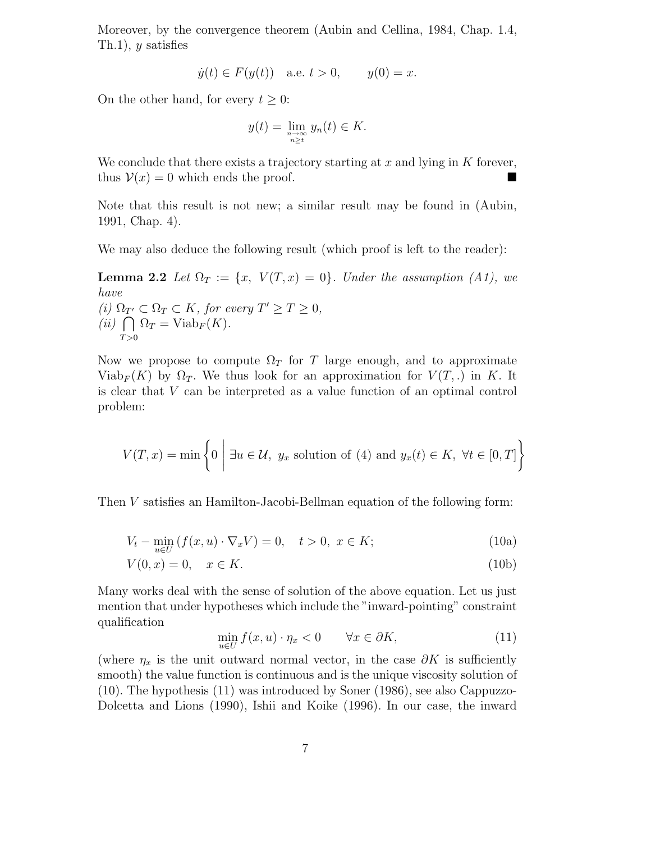Moreover, by the convergence theorem (Aubin and Cellina, 1984, Chap. 1.4, Th.1),  $y$  satisfies

$$
\dot{y}(t) \in F(y(t))
$$
 a.e.  $t > 0$ ,  $y(0) = x$ .

On the other hand, for every  $t \geq 0$ :

$$
y(t) = \lim_{\substack{n \to \infty \\ n \ge t}} y_n(t) \in K.
$$

We conclude that there exists a trajectory starting at  $x$  and lying in  $K$  forever, thus  $V(x) = 0$  which ends the proof.

Note that this result is not new; a similar result may be found in (Aubin, 1991, Chap. 4).

We may also deduce the following result (which proof is left to the reader):

**Lemma 2.2** Let  $\Omega_T := \{x, V(T, x) = 0\}$ . Under the assumption (A1), we have (i)  $\Omega_{T'} \subset \Omega_T \subset K$ , for every  $T' \ge T \ge 0$ , (*ii*)  $\bigcap \Omega_T = \text{Viab}_F (K)$ .  $T > 0$ 

Now we propose to compute  $\Omega_T$  for T large enough, and to approximate Viab<sub>F</sub>(K) by  $\Omega_T$ . We thus look for an approximation for  $V(T,.)$  in K. It is clear that V can be interpreted as a value function of an optimal control problem:

$$
V(T, x) = \min\left\{0 \mid \exists u \in \mathcal{U}, y_x \text{ solution of (4) and } y_x(t) \in K, \ \forall t \in [0, T]\right\}
$$

Then V satisfies an Hamilton-Jacobi-Bellman equation of the following form:

$$
V_t - \min_{u \in U} (f(x, u) \cdot \nabla_x V) = 0, \quad t > 0, \ x \in K;
$$
 (10a)

$$
V(0, x) = 0, \quad x \in K. \tag{10b}
$$

Many works deal with the sense of solution of the above equation. Let us just mention that under hypotheses which include the "inward-pointing" constraint qualification

$$
\min_{u \in U} f(x, u) \cdot \eta_x < 0 \qquad \forall x \in \partial K,\tag{11}
$$

(where  $\eta_x$  is the unit outward normal vector, in the case  $\partial K$  is sufficiently smooth) the value function is continuous and is the unique viscosity solution of (10). The hypothesis (11) was introduced by Soner (1986), see also Cappuzzo-Dolcetta and Lions (1990), Ishii and Koike (1996). In our case, the inward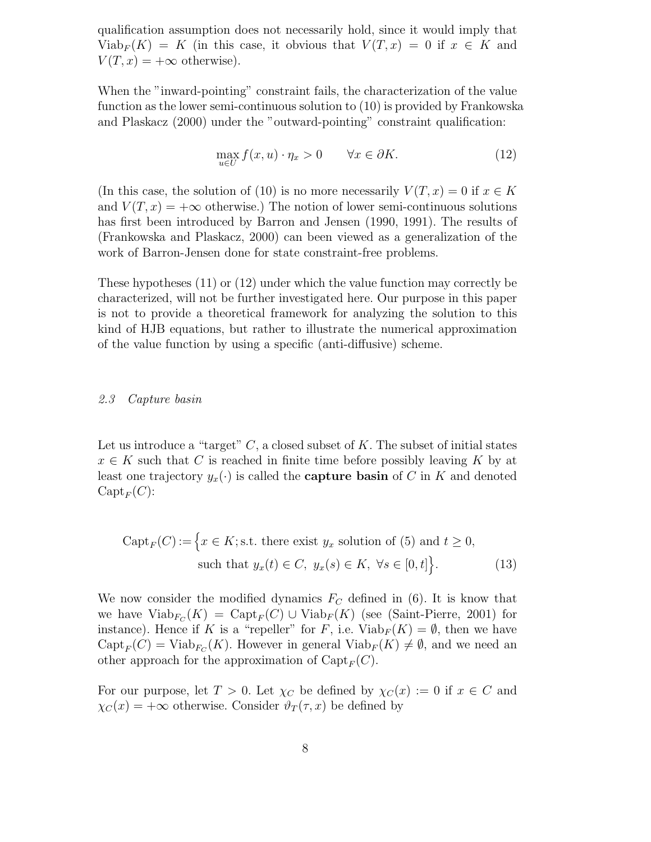qualification assumption does not necessarily hold, since it would imply that Viab<sub>F</sub>(K) = K (in this case, it obvious that  $V(T, x) = 0$  if  $x \in K$  and  $V(T, x) = +\infty$  otherwise).

When the "inward-pointing" constraint fails, the characterization of the value function as the lower semi-continuous solution to (10) is provided by Frankowska and Plaskacz (2000) under the "outward-pointing" constraint qualification:

$$
\max_{u \in U} f(x, u) \cdot \eta_x > 0 \qquad \forall x \in \partial K. \tag{12}
$$

(In this case, the solution of (10) is no more necessarily  $V(T, x) = 0$  if  $x \in K$ and  $V(T, x) = +\infty$  otherwise.) The notion of lower semi-continuous solutions has first been introduced by Barron and Jensen (1990, 1991). The results of (Frankowska and Plaskacz, 2000) can been viewed as a generalization of the work of Barron-Jensen done for state constraint-free problems.

These hypotheses (11) or (12) under which the value function may correctly be characterized, will not be further investigated here. Our purpose in this paper is not to provide a theoretical framework for analyzing the solution to this kind of HJB equations, but rather to illustrate the numerical approximation of the value function by using a specific (anti-diffusive) scheme.

#### 2.3 Capture basin

Let us introduce a "target"  $C$ , a closed subset of K. The subset of initial states  $x \in K$  such that C is reached in finite time before possibly leaving K by at least one trajectory  $y_x(\cdot)$  is called the **capture basin** of C in K and denoted  $\mathrm{Capt}_F(C)$ :

$$
Capt_F(C) := \Big\{ x \in K; s.t. \text{ there exist } y_x \text{ solution of (5) and } t \ge 0,
$$
  
such that  $y_x(t) \in C, y_x(s) \in K, \forall s \in [0, t] \Big\}.$  (13)

We now consider the modified dynamics  $F_C$  defined in (6). It is know that we have  $\text{Viab}_{F_C}(K) = \text{Capt}_F(C) \cup \text{Viab}_F(K)$  (see (Saint-Pierre, 2001) for instance). Hence if K is a "repeller" for F, i.e.  $\text{Viab}_F(K) = \emptyset$ , then we have  $\mathrm{Capt}_F(C) = \mathrm{Viab}_{F_C}(K)$ . However in general  $\mathrm{Viab}_F(K) \neq \emptyset$ , and we need an other approach for the approximation of  $\mathrm{Capt}_F(C)$ .

For our purpose, let  $T > 0$ . Let  $\chi_C$  be defined by  $\chi_C(x) := 0$  if  $x \in C$  and  $\chi_C(x) = +\infty$  otherwise. Consider  $\vartheta_T(\tau, x)$  be defined by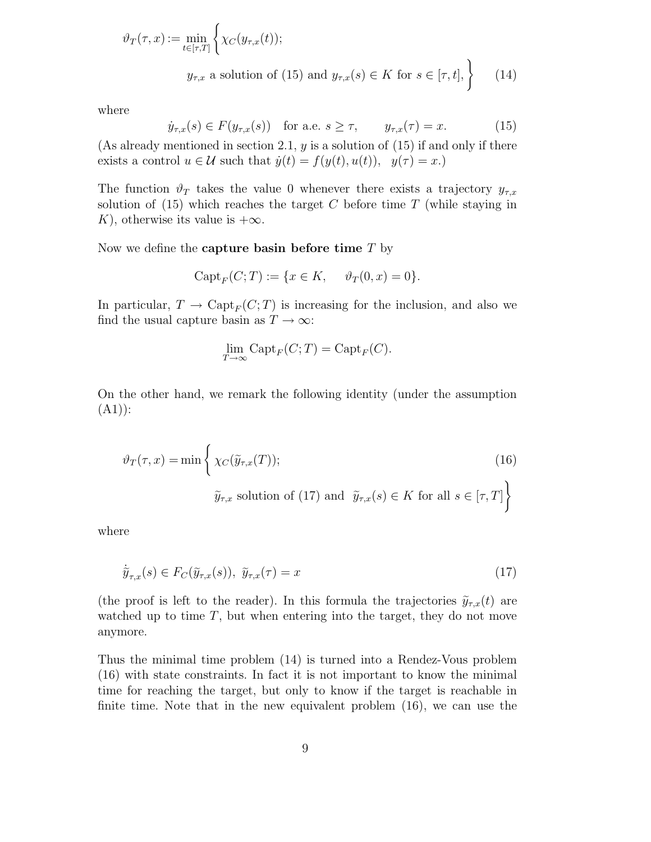$$
\vartheta_T(\tau, x) := \min_{t \in [\tau, T]} \left\{ \chi_C(y_{\tau, x}(t));
$$
  

$$
y_{\tau, x} \text{ a solution of (15) and } y_{\tau, x}(s) \in K \text{ for } s \in [\tau, t], \right\}
$$
 (14)

where

$$
\dot{y}_{\tau,x}(s) \in F(y_{\tau,x}(s)) \quad \text{for a.e. } s \ge \tau, \qquad y_{\tau,x}(\tau) = x. \tag{15}
$$

(As already mentioned in section 2.1,  $y$  is a solution of (15) if and only if there exists a control  $u \in \mathcal{U}$  such that  $\dot{y}(t) = f(y(t), u(t)), y(\tau) = x.$ 

The function  $\vartheta_T$  takes the value 0 whenever there exists a trajectory  $y_{\tau,x}$ solution of  $(15)$  which reaches the target C before time T (while staying in K), otherwise its value is  $+\infty$ .

Now we define the **capture basin before time**  $T$  by

$$
Capt_F(C;T) := \{ x \in K, \quad \vartheta_T(0,x) = 0 \}.
$$

In particular,  $T \to \text{Capt}_F(C;T)$  is increasing for the inclusion, and also we find the usual capture basin as  $T \to \infty$ :

$$
\lim_{T \to \infty} \text{Capt}_F(C;T) = \text{Capt}_F(C).
$$

On the other hand, we remark the following identity (under the assumption  $(A1)$ :

$$
\vartheta_T(\tau, x) = \min \left\{ \chi_C(\widetilde{y}_{\tau, x}(T)); \right\}
$$
\n
$$
\widetilde{y}_{\tau, x} \text{ solution of (17) and } \widetilde{y}_{\tau, x}(s) \in K \text{ for all } s \in [\tau, T] \right\}
$$
\n(16)

where

$$
\tilde{y}_{\tau,x}(s) \in F_C(\tilde{y}_{\tau,x}(s)), \ \tilde{y}_{\tau,x}(\tau) = x \tag{17}
$$

(the proof is left to the reader). In this formula the trajectories  $\tilde{y}_{\tau,x}(t)$  are watched up to time  $T$ , but when entering into the target, they do not move anymore.

Thus the minimal time problem (14) is turned into a Rendez-Vous problem (16) with state constraints. In fact it is not important to know the minimal time for reaching the target, but only to know if the target is reachable in finite time. Note that in the new equivalent problem (16), we can use the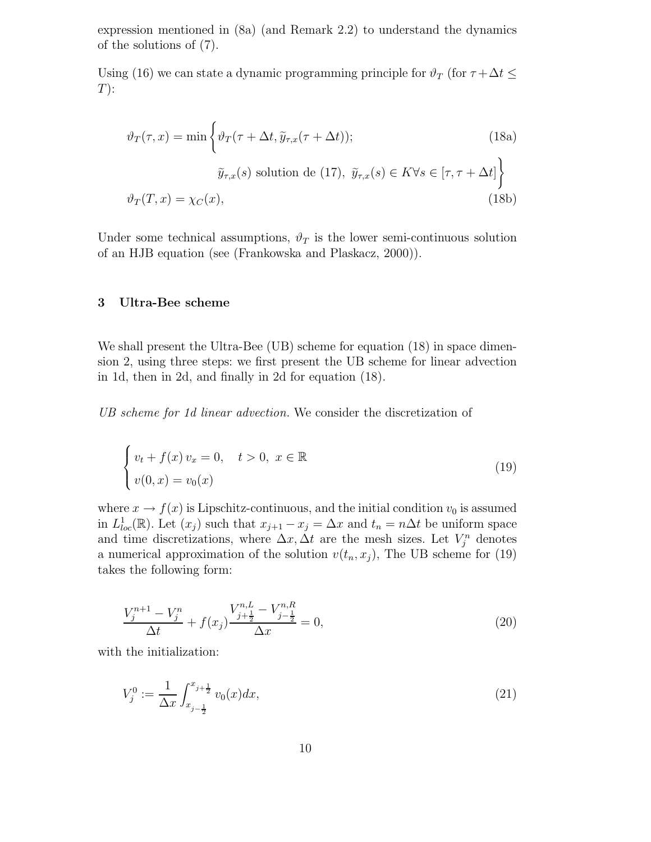expression mentioned in (8a) (and Remark 2.2) to understand the dynamics of the solutions of (7).

Using (16) we can state a dynamic programming principle for  $\vartheta_T$  (for  $\tau + \Delta t \leq$  $T)$ :

$$
\vartheta_T(\tau, x) = \min \left\{ \vartheta_T(\tau + \Delta t, \tilde{y}_{\tau, x}(\tau + \Delta t)); \tag{18a}
$$
\n
$$
\tilde{y}_{\tau, x}(s) \text{ solution de (17)}, \tilde{y}_{\tau, x}(s) \in K \forall s \in [\tau, \tau + \Delta t] \right\}
$$
\n
$$
\vartheta_T(T, x) = \chi_C(x), \tag{18b}
$$

Under some technical assumptions,  $\vartheta_T$  is the lower semi-continuous solution of an HJB equation (see (Frankowska and Plaskacz, 2000)).

#### 3 Ultra-Bee scheme

We shall present the Ultra-Bee (UB) scheme for equation (18) in space dimension 2, using three steps: we first present the UB scheme for linear advection in 1d, then in 2d, and finally in 2d for equation (18).

UB scheme for 1d linear advection. We consider the discretization of

$$
\begin{cases}\n v_t + f(x) \, v_x = 0, \quad t > 0, \ x \in \mathbb{R} \\
v(0, x) = v_0(x)\n\end{cases} \tag{19}
$$

where  $x \to f(x)$  is Lipschitz-continuous, and the initial condition  $v_0$  is assumed in  $L^1_{loc}(\mathbb{R})$ . Let  $(x_j)$  such that  $x_{j+1} - x_j = \Delta x$  and  $t_n = n\Delta t$  be uniform space and time discretizations, where  $\Delta x, \Delta t$  are the mesh sizes. Let  $V_j^n$  denotes a numerical approximation of the solution  $v(t_n, x_j)$ , The UB scheme for (19) takes the following form:

$$
\frac{V_j^{n+1} - V_j^n}{\Delta t} + f(x_j) \frac{V_{j+\frac{1}{2}}^{n,L} - V_{j-\frac{1}{2}}^{n,R}}{\Delta x} = 0,
$$
\n(20)

with the initialization:

$$
V_j^0 := \frac{1}{\Delta x} \int_{x_{j-\frac{1}{2}}}^{x_{j+\frac{1}{2}}} v_0(x) dx,\tag{21}
$$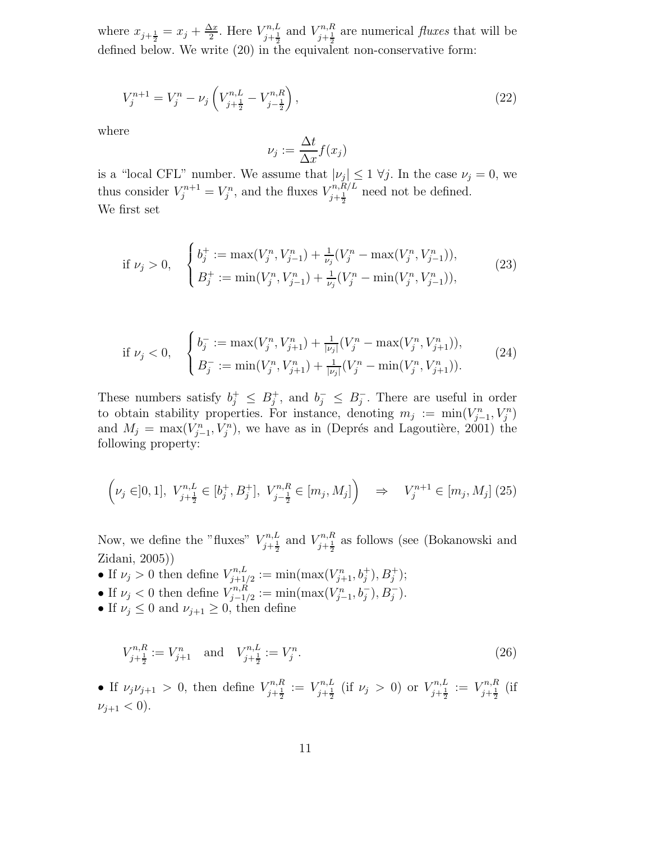where  $x_{j+\frac{1}{2}} = x_j + \frac{\Delta x}{2}$  $\frac{\Delta x}{2}$ . Here  $V_{j+\frac{1}{2}}^{n,L}$  $V_{j+\frac{1}{2}}^{n,L}$  and  $V_{j+\frac{1}{2}}^{n,R}$  $\zeta_{j+\frac{1}{2}}^{n,\pi}$  are numerical *fluxes* that will be defined below. We write (20) in the equivalent non-conservative form:

$$
V_j^{n+1} = V_j^n - \nu_j \left( V_{j+\frac{1}{2}}^{n,L} - V_{j-\frac{1}{2}}^{n,R} \right),\tag{22}
$$

where

$$
\nu_j := \frac{\Delta t}{\Delta x} f(x_j)
$$

is a "local CFL" number. We assume that  $|\nu_j| \leq 1 \forall j$ . In the case  $\nu_j = 0$ , we thus consider  $V_j^{n+1} = V_j^n$ , and the fluxes  $V_{j+\frac{1}{2}}^{n,R/L}$  $\frac{f^{n,R/L}}{j+\frac{1}{2}}$  need not be defined. We first set

if 
$$
\nu_j > 0
$$
, 
$$
\begin{cases} b_j^+ := \max(V_j^n, V_{j-1}^n) + \frac{1}{\nu_j}(V_j^n - \max(V_j^n, V_{j-1}^n)), \\ B_j^+ := \min(V_j^n, V_{j-1}^n) + \frac{1}{\nu_j}(V_j^n - \min(V_j^n, V_{j-1}^n)), \end{cases}
$$
(23)

$$
\text{if } \nu_j < 0, \quad \begin{cases} b_j^- := \max(V_j^n, V_{j+1}^n) + \frac{1}{|\nu_j|}(V_j^n - \max(V_j^n, V_{j+1}^n)), \\ B_j^- := \min(V_j^n, V_{j+1}^n) + \frac{1}{|\nu_j|}(V_j^n - \min(V_j^n, V_{j+1}^n)). \end{cases} \tag{24}
$$

These numbers satisfy  $b_j^+ \leq B_j^+$ , and  $b_j^- \leq B_j^-$ . There are useful in order to obtain stability properties. For instance, denoting  $m_j := \min(V_{j-1}^n, V_j^n)$ and  $M_j = \max(V_{j-1}^n, V_j^n)$ , we have as in (Deprés and Lagoutière, 2001) the following property:

$$
\left(\nu_j \in ]0,1], \ V_{j+\frac{1}{2}}^{n,L} \in [b_j^+, B_j^+], \ V_{j-\frac{1}{2}}^{n,R} \in [m_j, M_j] \right) \Rightarrow V_j^{n+1} \in [m_j, M_j] \tag{25}
$$

Now, we define the "fluxes"  $V_{i+1}^{n,L}$  $V_{j+\frac{1}{2}}^{n,L}$  and  $V_{j+\frac{1}{2}}^{n,R}$  $j+\frac{1}{2}$  as follows (see (Bokanowski and Zidani, 2005))

• If  $\nu_j > 0$  then define  $V_{j+1}^{n,L}$  $\chi_{j+1/2}^{n,L} := \min(\max(V_{j+1}^n, b_j^+), B_j^+);$ 

- If  $\nu_j < 0$  then define  $V_{j-1}^{n,R}$  $\chi_{j-1/2}^{n,R} := \min(\max(V_{j-1}^n, b_j^-), B_j^-).$
- If  $\nu_j \leq 0$  and  $\nu_{j+1} \geq 0$ , then define

$$
V_{j+\frac{1}{2}}^{n,R} := V_{j+1}^n \quad \text{and} \quad V_{j+\frac{1}{2}}^{n,L} := V_j^n. \tag{26}
$$

• If  $\nu_j \nu_{j+1} > 0$ , then define  $V_{j+1}^{n,R}$  $\zeta_{j+\frac{1}{2}}^{n,R} := V_{j+\frac{1}{2}}^{n,L}$  $\sum_{j+\frac{1}{2}}^{r n,L}$  (if  $\nu_j > 0$ ) or  $V_{j+\frac{1}{2}}^{n,L}$  $\zeta_{j+\frac{1}{2}}^{n,L}:=V_{j+\frac{1}{2}}^{n,R}$  $\frac{i^{\frac{n}{2}}}{i+\frac{1}{2}}$  (if  $\nu_{j+1} < 0$ ).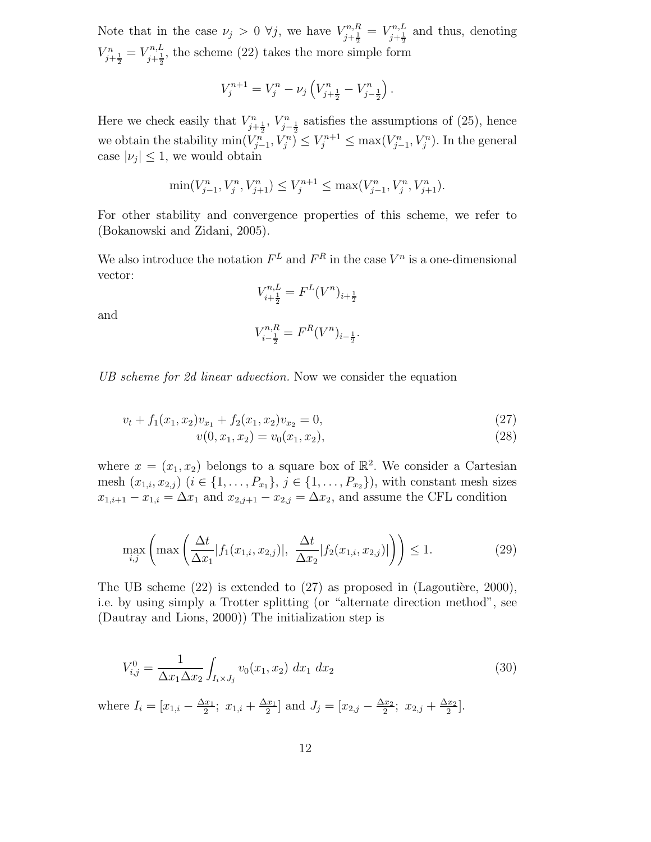Note that in the case  $\nu_j > 0 \ \forall j$ , we have  $V_{i+1}^{n,R}$  $V_{j+\frac{1}{2}}^{n,R} = V_{j+\frac{1}{2}}^{n,L}$  $\sum_{j+\frac{1}{2}}^{n,L}$  and thus, denoting  $V_{j+\frac{1}{2}}^{n} = V_{j+\frac{1}{2}}^{n,L}$ , the scheme (22) takes the more simple form

$$
V_j^{n+1} = V_j^n - \nu_j \left( V_{j+\frac{1}{2}}^n - V_{j-\frac{1}{2}}^n \right).
$$

Here we check easily that  $V_{j+\frac{1}{2}}^n$ ,  $V_{j-\frac{1}{2}}^n$  satisfies the assumptions of (25), hence we obtain the stability  $\min(V_{j-1}^n, V_j^n) \leq V_j^{n+1} \leq \max(V_{j-1}^n, V_j^n)$ . In the general case  $|\nu_j| \leq 1$ , we would obtain

$$
\min(V_{j-1}^n, V_j^n, V_{j+1}^n) \le V_j^{n+1} \le \max(V_{j-1}^n, V_j^n, V_{j+1}^n).
$$

For other stability and convergence properties of this scheme, we refer to (Bokanowski and Zidani, 2005).

We also introduce the notation  $F^L$  and  $F^R$  in the case  $V^n$  is a one-dimensional vector:

$$
V_{i+\frac{1}{2}}^{n,L}=F^L(V^n)_{i+\frac{1}{2}}
$$

and

$$
V_{i-\frac{1}{2}}^{n,R}=F^R(V^n)_{i-\frac{1}{2}}.
$$

UB scheme for 2d linear advection. Now we consider the equation

$$
v_t + f_1(x_1, x_2)v_{x_1} + f_2(x_1, x_2)v_{x_2} = 0,
$$
\n(27)

$$
v(0, x_1, x_2) = v_0(x_1, x_2), \tag{28}
$$

where  $x = (x_1, x_2)$  belongs to a square box of  $\mathbb{R}^2$ . We consider a Cartesian mesh  $(x_{1,i}, x_{2,j})$   $(i \in \{1, ..., P_{x_1}\}, j \in \{1, ..., P_{x_2}\})$ , with constant mesh sizes  $x_{1,i+1} - x_{1,i} = \Delta x_1$  and  $x_{2,j+1} - x_{2,j} = \Delta x_2$ , and assume the CFL condition

$$
\max_{i,j} \left( \max \left( \frac{\Delta t}{\Delta x_1} |f_1(x_{1,i}, x_{2,j})|, \frac{\Delta t}{\Delta x_2} |f_2(x_{1,i}, x_{2,j})| \right) \right) \le 1.
$$
 (29)

The UB scheme  $(22)$  is extended to  $(27)$  as proposed in (Lagoutière, 2000), i.e. by using simply a Trotter splitting (or "alternate direction method", see (Dautray and Lions, 2000)) The initialization step is

$$
V_{i,j}^0 = \frac{1}{\Delta x_1 \Delta x_2} \int_{I_i \times J_j} v_0(x_1, x_2) dx_1 dx_2
$$
\n(30)

where  $I_i = [x_{1,i} - \frac{\Delta x_1}{2}]$  $\frac{x_1}{2}$ ;  $x_{1,i} + \frac{\Delta x_1}{2}$  $\left[\frac{x_1}{2}\right]$  and  $J_j = \left[x_{2,j} - \frac{\Delta x_2}{2}\right]$  $\frac{x_2}{2}$ ;  $x_{2,j} + \frac{\Delta x_2}{2}$  $\frac{x_2}{2}$ .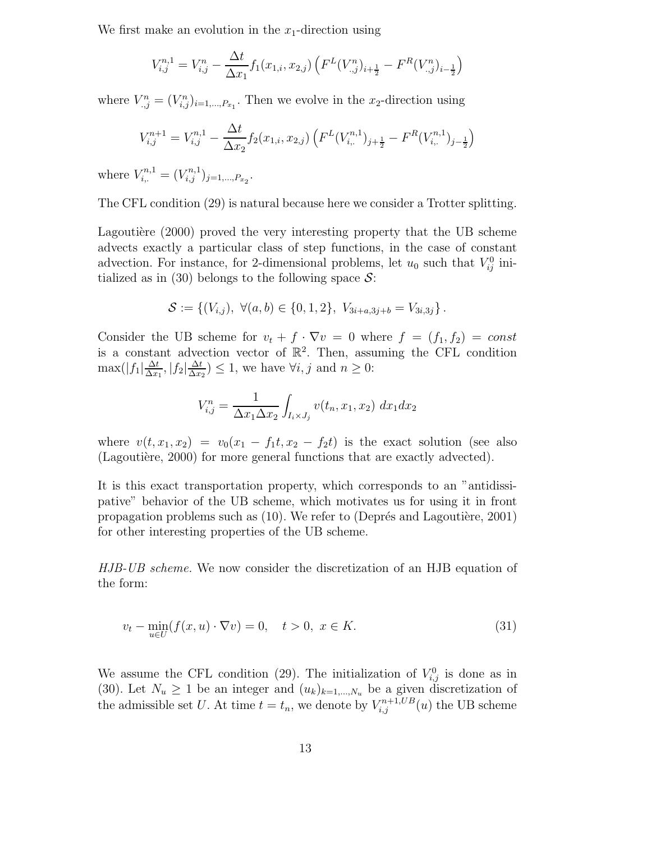We first make an evolution in the  $x_1$ -direction using

$$
V_{i,j}^{n,1} = V_{i,j}^n - \frac{\Delta t}{\Delta x_1} f_1(x_{1,i}, x_{2,j}) \left( F^L(V_{.,j}^n)_{i+\frac{1}{2}} - F^R(V_{.,j}^n)_{i-\frac{1}{2}} \right)
$$

where  $V_{.,j}^{n} = (V_{i,j}^{n})_{i=1,\dots,P_{x_1}}$ . Then we evolve in the  $x_2$ -direction using

$$
V_{i,j}^{n+1} = V_{i,j}^{n,1} - \frac{\Delta t}{\Delta x_2} f_2(x_{1,i}, x_{2,j}) \left( F^L(V_{i,:}^{n,1})_{j+\frac{1}{2}} - F^R(V_{i,:}^{n,1})_{j-\frac{1}{2}} \right)
$$

where  $V_{i,:}^{n,1} = (V_{i,j}^{n,1})_{j=1,...,P_{x_2}}$ .

The CFL condition (29) is natural because here we consider a Trotter splitting.

Lagoutière  $(2000)$  proved the very interesting property that the UB scheme advects exactly a particular class of step functions, in the case of constant advection. For instance, for 2-dimensional problems, let  $u_0$  such that  $V_{ij}^0$  initialized as in (30) belongs to the following space  $S$ :

$$
\mathcal{S} := \{ (V_{i,j}), \ \forall (a,b) \in \{0,1,2\}, \ V_{3i+a,3j+b} = V_{3i,3j} \}.
$$

Consider the UB scheme for  $v_t + f \cdot \nabla v = 0$  where  $f = (f_1, f_2) = const$ is a constant advection vector of  $\mathbb{R}^2$ . Then, assuming the CFL condition  $\max(|f_1|\frac{\Delta t}{\Delta x})$  $\frac{\Delta t}{\Delta x_1}, |f_2| \frac{\Delta t}{\Delta x_2}$  $\frac{\Delta t}{\Delta x_2}$   $\leq$  1, we have  $\forall i, j$  and  $n \geq 0$ :

$$
V_{i,j}^{n} = \frac{1}{\Delta x_1 \Delta x_2} \int_{I_i \times J_j} v(t_n, x_1, x_2) dx_1 dx_2
$$

where  $v(t, x_1, x_2) = v_0(x_1 - f_1t, x_2 - f_2t)$  is the exact solution (see also (Lagoutière,  $2000$ ) for more general functions that are exactly advected).

It is this exact transportation property, which corresponds to an "antidissipative" behavior of the UB scheme, which motivates us for using it in front propagation problems such as  $(10)$ . We refer to (Deprés and Lagoutière, 2001) for other interesting properties of the UB scheme.

HJB-UB scheme. We now consider the discretization of an HJB equation of the form:

$$
v_t - \min_{u \in U} (f(x, u) \cdot \nabla v) = 0, \quad t > 0, \ x \in K.
$$
 (31)

We assume the CFL condition (29). The initialization of  $V_{i,j}^0$  is done as in (30). Let  $N_u \geq 1$  be an integer and  $(u_k)_{k=1,\dots,N_u}$  be a given discretization of the admissible set U. At time  $t = t_n$ , we denote by  $V_{i,j}^{n+1,UB}(u)$  the UB scheme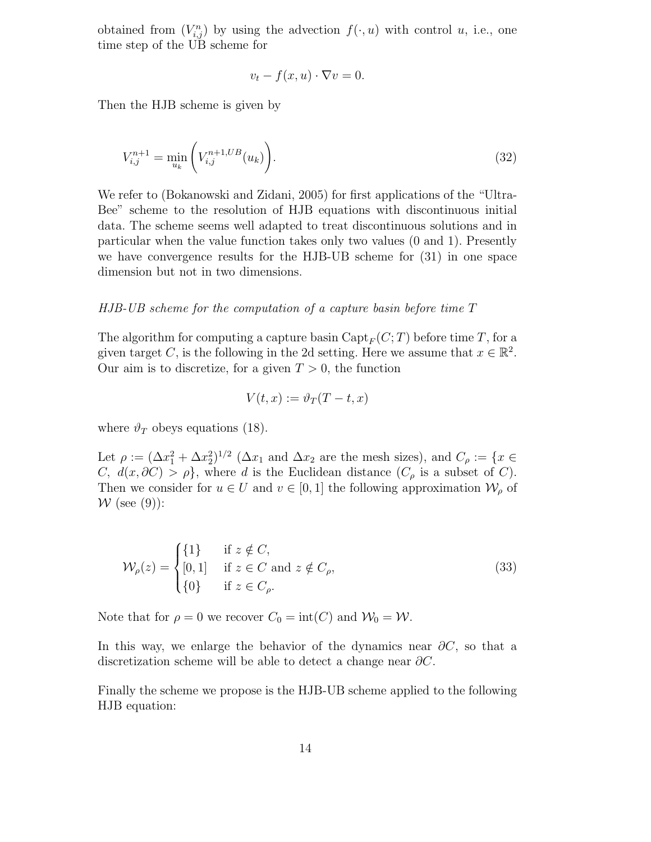obtained from  $(V_{i,j}^n)$  by using the advection  $f(\cdot, u)$  with control u, i.e., one time step of the UB scheme for

$$
v_t - f(x, u) \cdot \nabla v = 0.
$$

Then the HJB scheme is given by

$$
V_{i,j}^{n+1} = \min_{u_k} \left( V_{i,j}^{n+1,UB}(u_k) \right). \tag{32}
$$

We refer to (Bokanowski and Zidani, 2005) for first applications of the "Ultra-Bee" scheme to the resolution of HJB equations with discontinuous initial data. The scheme seems well adapted to treat discontinuous solutions and in particular when the value function takes only two values (0 and 1). Presently we have convergence results for the HJB-UB scheme for (31) in one space dimension but not in two dimensions.

#### HJB-UB scheme for the computation of a capture basin before time T

The algorithm for computing a capture basin  $\text{Capt}_F(C; T)$  before time T, for a given target C, is the following in the 2d setting. Here we assume that  $x \in \mathbb{R}^2$ . Our aim is to discretize, for a given  $T > 0$ , the function

$$
V(t,x) := \vartheta_T(T-t,x)
$$

where  $\vartheta_T$  obeys equations (18).

Let  $\rho := (\Delta x_1^2 + \Delta x_2^2)^{1/2}$  ( $\Delta x_1$  and  $\Delta x_2$  are the mesh sizes), and  $C_\rho := \{x \in$ C,  $d(x, \partial C) > \rho$ , where d is the Euclidean distance  $(C_{\rho}$  is a subset of C). Then we consider for  $u \in U$  and  $v \in [0, 1]$  the following approximation  $\mathcal{W}_{\rho}$  of  $W$  (see (9)):

$$
\mathcal{W}_{\rho}(z) = \begin{cases} \{1\} & \text{if } z \notin C, \\ [0,1] & \text{if } z \in C \text{ and } z \notin C_{\rho}, \\ \{0\} & \text{if } z \in C_{\rho}. \end{cases} \tag{33}
$$

Note that for  $\rho = 0$  we recover  $C_0 = \text{int}(C)$  and  $\mathcal{W}_0 = \mathcal{W}$ .

In this way, we enlarge the behavior of the dynamics near  $\partial C$ , so that a discretization scheme will be able to detect a change near  $\partial C$ .

Finally the scheme we propose is the HJB-UB scheme applied to the following HJB equation: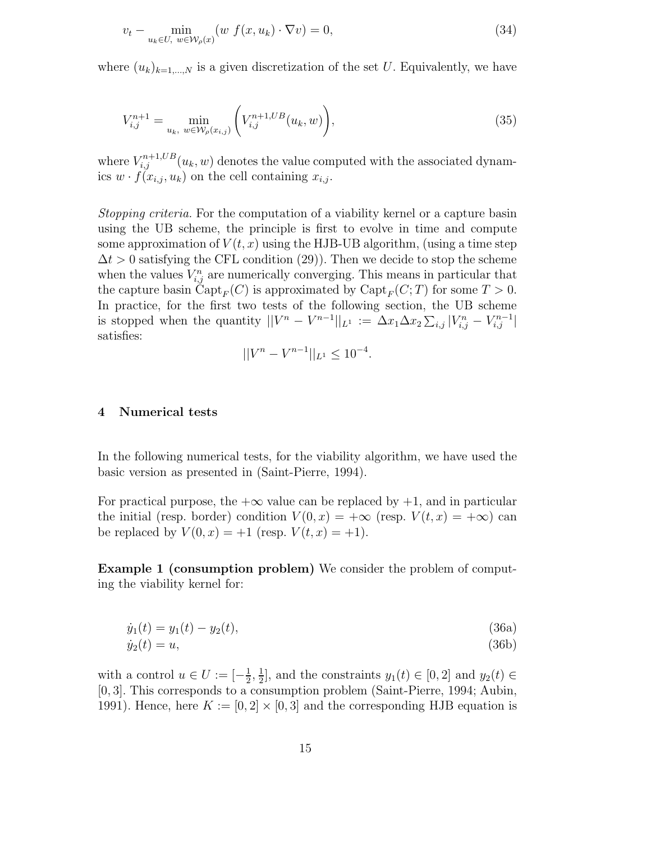$$
v_t - \min_{u_k \in U, w \in \mathcal{W}_\rho(x)} (w f(x, u_k) \cdot \nabla v) = 0,
$$
\n(34)

where  $(u_k)_{k=1,\dots,N}$  is a given discretization of the set U. Equivalently, we have

$$
V_{i,j}^{n+1} = \min_{u_k, w \in \mathcal{W}_\rho(x_{i,j})} \left( V_{i,j}^{n+1,UB}(u_k, w) \right), \tag{35}
$$

where  $V_{i,j}^{n+1,UB}(u_k, w)$  denotes the value computed with the associated dynamics  $w \cdot f(x_{i,j}, u_k)$  on the cell containing  $x_{i,j}$ .

Stopping criteria. For the computation of a viability kernel or a capture basin using the UB scheme, the principle is first to evolve in time and compute some approximation of  $V(t, x)$  using the HJB-UB algorithm, (using a time step  $\Delta t > 0$  satisfying the CFL condition (29)). Then we decide to stop the scheme when the values  $V_{i,j}^n$  are numerically converging. This means in particular that the capture basin Capt<sub>F</sub>(C) is approximated by Capt<sub>F</sub>(C; T) for some  $T > 0$ . In practice, for the first two tests of the following section, the UB scheme is stopped when the quantity  $||V^n - V^{n-1}||_{L^1} := \Delta x_1 \Delta x_2 \sum_{i,j} |V_{i,j}^n - V_{i,j}^{n-1}|$ satisfies:

$$
||V^n - V^{n-1}||_{L^1} \le 10^{-4}.
$$

## 4 Numerical tests

In the following numerical tests, for the viability algorithm, we have used the basic version as presented in (Saint-Pierre, 1994).

For practical purpose, the  $+\infty$  value can be replaced by  $+1$ , and in particular the initial (resp. border) condition  $V(0, x) = +\infty$  (resp.  $V(t, x) = +\infty$ ) can be replaced by  $V(0, x) = +1$  (resp.  $V(t, x) = +1$ ).

Example 1 (consumption problem) We consider the problem of computing the viability kernel for:

$$
\dot{y}_1(t) = y_1(t) - y_2(t),\tag{36a}
$$

$$
\dot{y}_2(t) = u,\tag{36b}
$$

with a control  $u \in U := \left[-\frac{1}{2}\right]$  $\frac{1}{2}, \frac{1}{2}$  $\frac{1}{2}$ , and the constraints  $y_1(t) \in [0,2]$  and  $y_2(t) \in$ [0, 3]. This corresponds to a consumption problem (Saint-Pierre, 1994; Aubin, 1991). Hence, here  $K := [0, 2] \times [0, 3]$  and the corresponding HJB equation is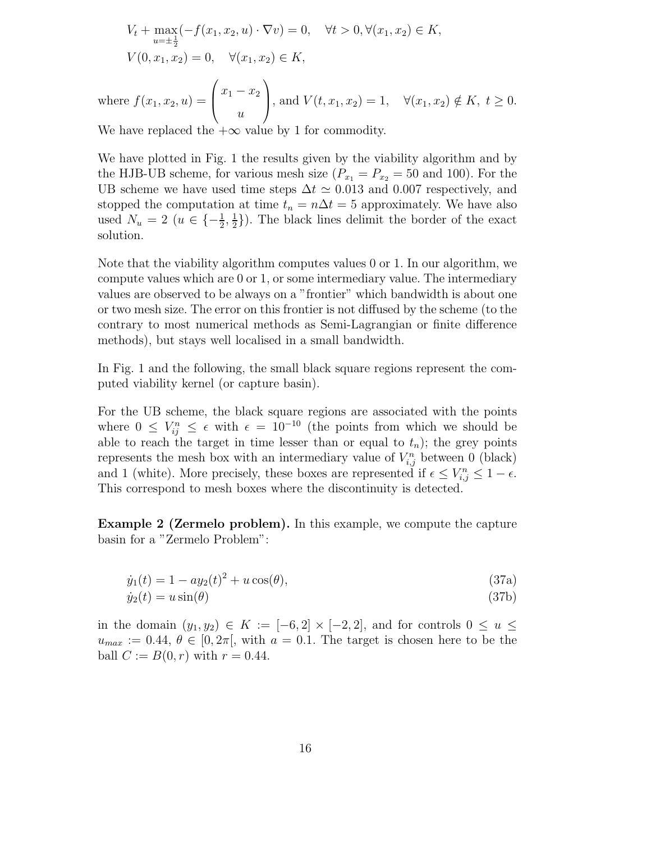$$
V_t + \max_{u=\pm \frac{1}{2}} (-f(x_1, x_2, u) \cdot \nabla v) = 0, \quad \forall t > 0, \forall (x_1, x_2) \in K,
$$
  
\n
$$
V(0, x_1, x_2) = 0, \quad \forall (x_1, x_2) \in K,
$$
  
\nwhere  $f(x_1, x_2, u) = \begin{pmatrix} x_1 - x_2 \ u \end{pmatrix}$ , and  $V(t, x_1, x_2) = 1, \quad \forall (x_1, x_2) \notin K, t \ge 0.$ 

We have replaced the  $+\infty$  value by 1 for commodity.

We have plotted in Fig. 1 the results given by the viability algorithm and by the HJB-UB scheme, for various mesh size  $(P_{x_1} = P_{x_2} = 50$  and 100). For the UB scheme we have used time steps  $\Delta t \simeq 0.013$  and 0.007 respectively, and stopped the computation at time  $t_n = n\Delta t = 5$  approximately. We have also used  $N_u = 2$   $(u \in \{-\frac{1}{2}, \frac{1}{2})\}$  $\frac{1}{2}$ ). The black lines delimit the border of the exact solution.

Note that the viability algorithm computes values 0 or 1. In our algorithm, we compute values which are 0 or 1, or some intermediary value. The intermediary values are observed to be always on a "frontier" which bandwidth is about one or two mesh size. The error on this frontier is not diffused by the scheme (to the contrary to most numerical methods as Semi-Lagrangian or finite difference methods), but stays well localised in a small bandwidth.

In Fig. 1 and the following, the small black square regions represent the computed viability kernel (or capture basin).

For the UB scheme, the black square regions are associated with the points where  $0 \leq V_{ij}^n \leq \epsilon$  with  $\epsilon = 10^{-10}$  (the points from which we should be able to reach the target in time lesser than or equal to  $t_n$ ); the grey points represents the mesh box with an intermediary value of  $V_{i,j}^n$  between 0 (black) and 1 (white). More precisely, these boxes are represented if  $\epsilon \leq V_{i,j}^n \leq 1 - \epsilon$ . This correspond to mesh boxes where the discontinuity is detected.

Example 2 (Zermelo problem). In this example, we compute the capture basin for a "Zermelo Problem":

$$
\dot{y}_1(t) = 1 - ay_2(t)^2 + u\cos(\theta),\tag{37a}
$$

$$
\dot{y}_2(t) = u\sin(\theta) \tag{37b}
$$

in the domain  $(y_1, y_2) \in K := [-6, 2] \times [-2, 2]$ , and for controls  $0 \le u \le$  $u_{max} := 0.44, \theta \in [0, 2\pi]$ , with  $a = 0.1$ . The target is chosen here to be the ball  $C := B(0, r)$  with  $r = 0.44$ .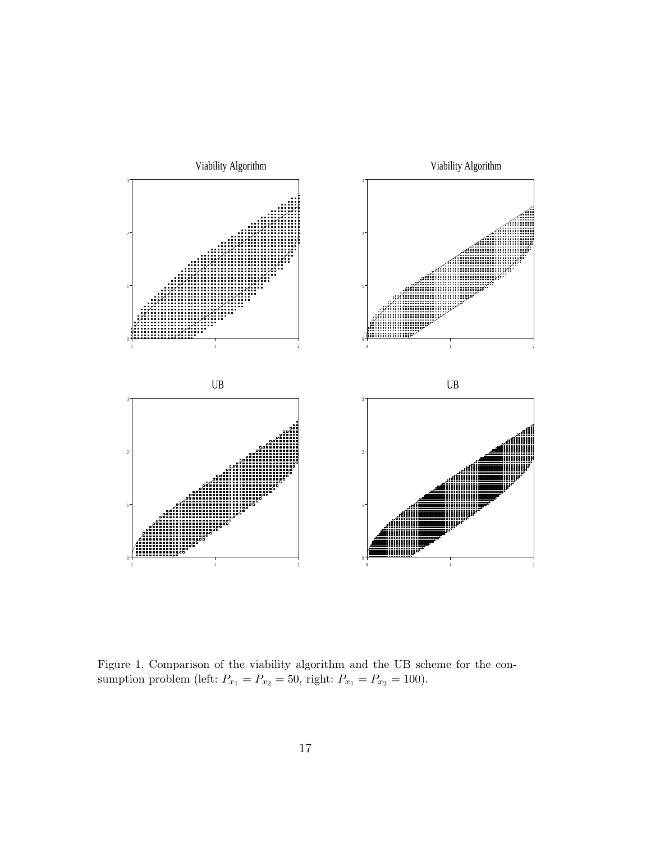

Figure 1. Comparison of the viability algorithm and the UB scheme for the consumption problem (left:  $P_{x_1} = P_{x_2} = 50$ , right:  $P_{x_1} = P_{x_2} = 100$ ).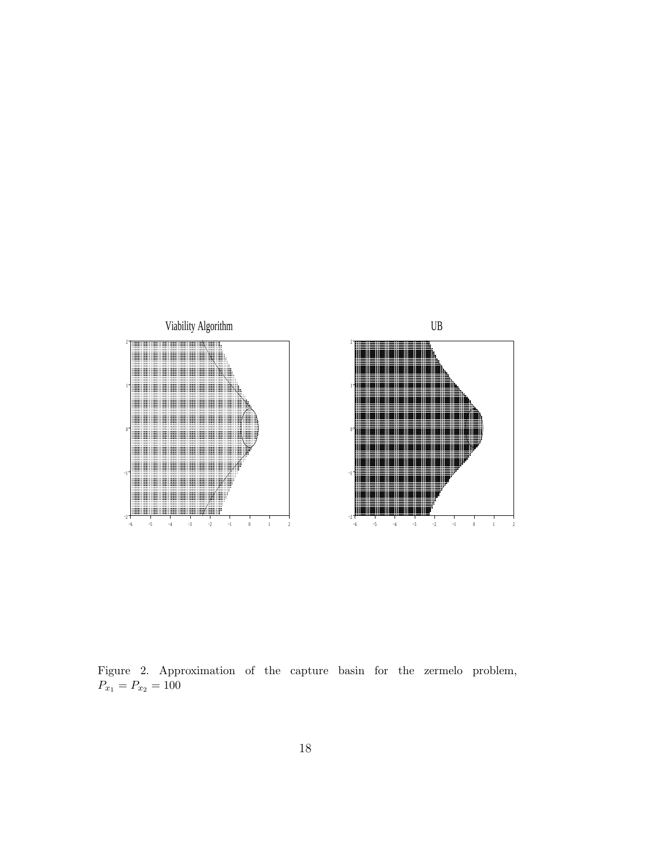

Figure 2. Approximation of the capture basin for the zermelo problem,  $P_{x_1} = P_{x_2} = 100$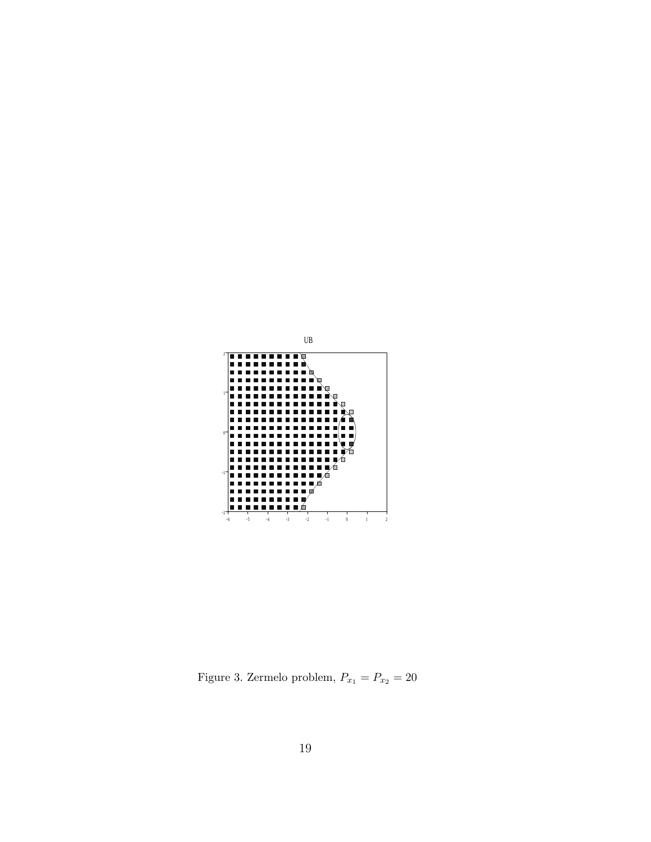

Figure 3. Zermelo problem,  $P_{x_1} = P_{x_2} = 20$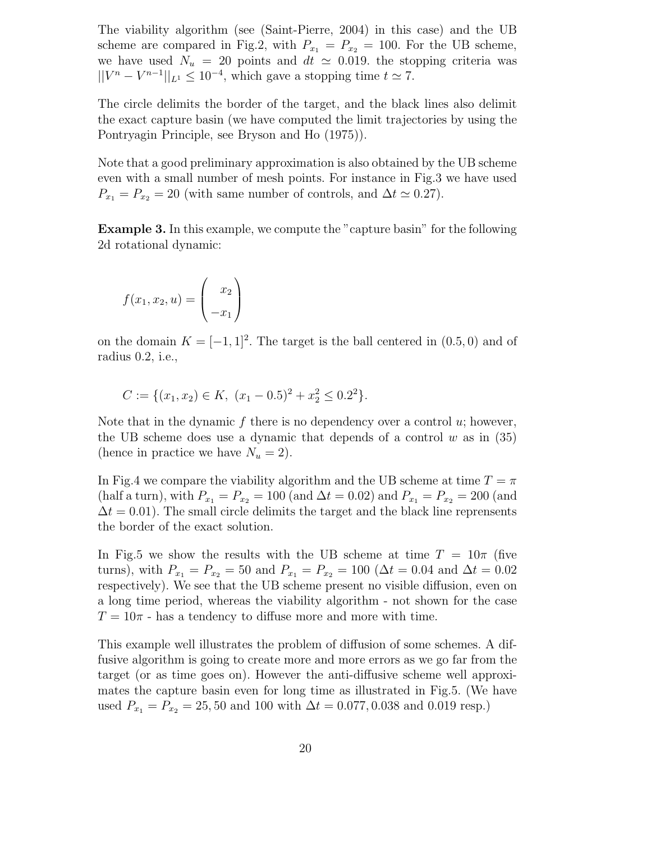The viability algorithm (see (Saint-Pierre, 2004) in this case) and the UB scheme are compared in Fig.2, with  $P_{x_1} = P_{x_2} = 100$ . For the UB scheme, we have used  $N_u = 20$  points and  $dt \approx 0.019$ . the stopping criteria was  $||V^n - V^{n-1}||_{L^1} \leq 10^{-4}$ , which gave a stopping time  $t \simeq 7$ .

The circle delimits the border of the target, and the black lines also delimit the exact capture basin (we have computed the limit trajectories by using the Pontryagin Principle, see Bryson and Ho (1975)).

Note that a good preliminary approximation is also obtained by the UB scheme even with a small number of mesh points. For instance in Fig.3 we have used  $P_{x_1} = P_{x_2} = 20$  (with same number of controls, and  $\Delta t \simeq 0.27$ ).

Example 3. In this example, we compute the "capture basin" for the following 2d rotational dynamic:

$$
f(x_1, x_2, u) = \begin{pmatrix} x_2 \\ -x_1 \end{pmatrix}
$$

on the domain  $K = [-1, 1]^2$ . The target is the ball centered in  $(0.5, 0)$  and of radius 0.2, i.e.,

$$
C := \{(x_1, x_2) \in K, (x_1 - 0.5)^2 + x_2^2 \le 0.2^2\}.
$$

Note that in the dynamic f there is no dependency over a control  $u$ ; however, the UB scheme does use a dynamic that depends of a control  $w$  as in (35) (hence in practice we have  $N_u = 2$ ).

In Fig.4 we compare the viability algorithm and the UB scheme at time  $T = \pi$ (half a turn), with  $P_{x_1} = P_{x_2} = 100$  (and  $\Delta t = 0.02$ ) and  $P_{x_1} = P_{x_2} = 200$  (and  $\Delta t = 0.01$ . The small circle delimits the target and the black line reprensents the border of the exact solution.

In Fig.5 we show the results with the UB scheme at time  $T = 10\pi$  (five turns), with  $P_{x_1} = P_{x_2} = 50$  and  $P_{x_1} = P_{x_2} = 100 \ (\Delta t = 0.04 \text{ and } \Delta t = 0.02$ respectively). We see that the UB scheme present no visible diffusion, even on a long time period, whereas the viability algorithm - not shown for the case  $T = 10\pi$  - has a tendency to diffuse more and more with time.

This example well illustrates the problem of diffusion of some schemes. A diffusive algorithm is going to create more and more errors as we go far from the target (or as time goes on). However the anti-diffusive scheme well approximates the capture basin even for long time as illustrated in Fig.5. (We have used  $P_{x_1} = P_{x_2} = 25,50$  and 100 with  $\Delta t = 0.077, 0.038$  and 0.019 resp.)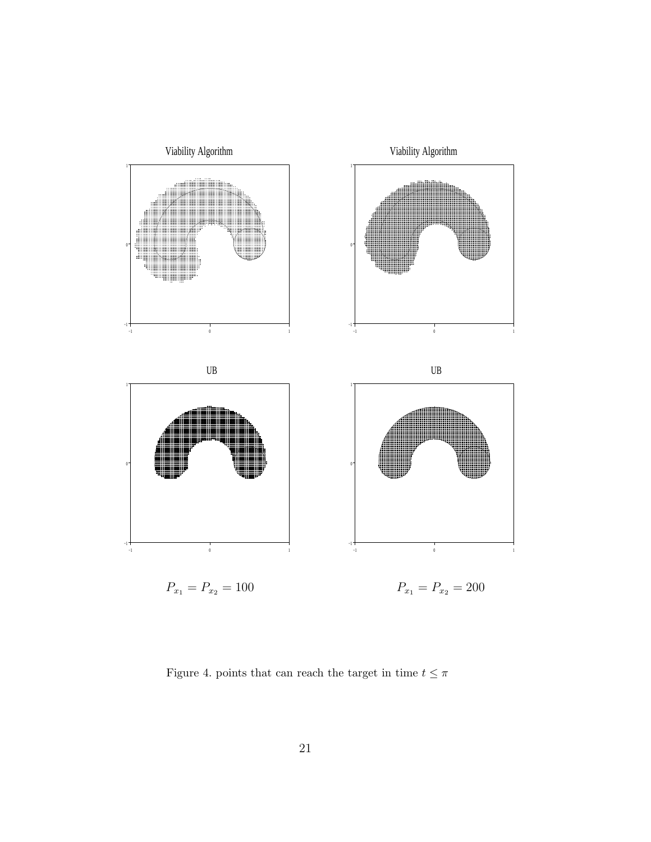

Figure 4. points that can reach the target in time  $t\leq \pi$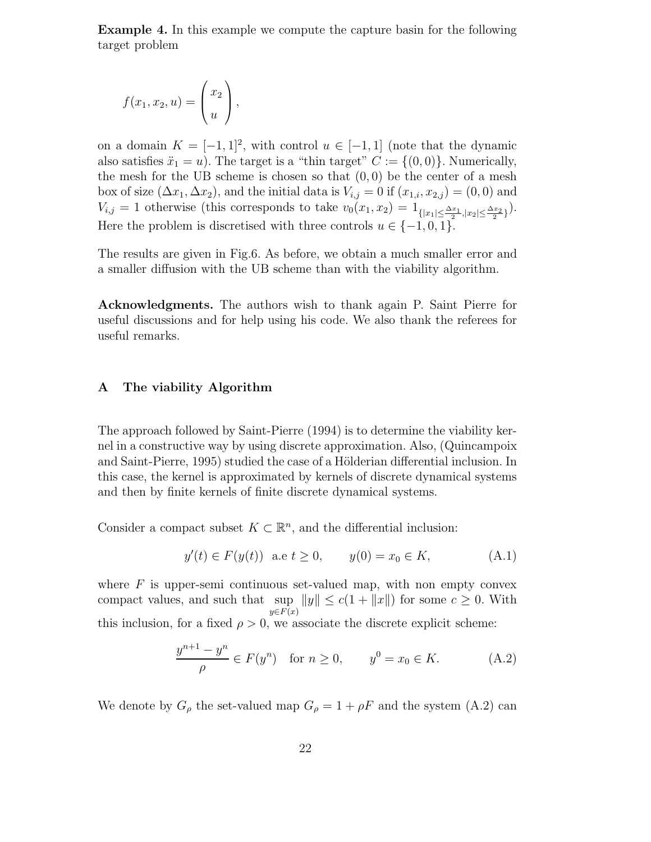Example 4. In this example we compute the capture basin for the following target problem

$$
f(x_1, x_2, u) = \begin{pmatrix} x_2 \\ u \end{pmatrix},
$$

on a domain  $K = [-1, 1]^2$ , with control  $u \in [-1, 1]$  (note that the dynamic also satisfies  $\ddot{x}_1 = u$ ). The target is a "thin target"  $C := \{(0,0)\}\.$  Numerically, the mesh for the UB scheme is chosen so that  $(0, 0)$  be the center of a mesh box of size  $(\Delta x_1, \Delta x_2)$ , and the initial data is  $V_{i,j} = 0$  if  $(x_{1,i}, x_{2,j}) = (0,0)$  and  $V_{i,j} = 1$  otherwise (this corresponds to take  $v_0(x_1, x_2) = 1_{\{|x_1| \le \frac{\Delta x_1}{2}, |x_2| \le \frac{\Delta x_2}{2}\}}$ ). Here the problem is discretised with three controls  $u \in \{-1,0,1\}$ .

The results are given in Fig.6. As before, we obtain a much smaller error and a smaller diffusion with the UB scheme than with the viability algorithm.

Acknowledgments. The authors wish to thank again P. Saint Pierre for useful discussions and for help using his code. We also thank the referees for useful remarks.

## A The viability Algorithm

The approach followed by Saint-Pierre (1994) is to determine the viability kernel in a constructive way by using discrete approximation. Also, (Quincampoix and Saint-Pierre, 1995) studied the case of a Hölderian differential inclusion. In this case, the kernel is approximated by kernels of discrete dynamical systems and then by finite kernels of finite discrete dynamical systems.

Consider a compact subset  $K \subset \mathbb{R}^n$ , and the differential inclusion:

$$
y'(t) \in F(y(t))
$$
 a.e  $t \ge 0$ ,  $y(0) = x_0 \in K$ , (A.1)

where  $F$  is upper-semi continuous set-valued map, with non empty convex compact values, and such that sup  $||y|| \le c(1 + ||x||)$  for some  $c \ge 0$ . With  $y \in F(x)$ this inclusion, for a fixed  $\rho > 0$ , we associate the discrete explicit scheme:

$$
\frac{y^{n+1} - y^n}{\rho} \in F(y^n) \quad \text{for } n \ge 0, \qquad y^0 = x_0 \in K. \tag{A.2}
$$

We denote by  $G_{\rho}$  the set-valued map  $G_{\rho} = 1 + \rho F$  and the system (A.2) can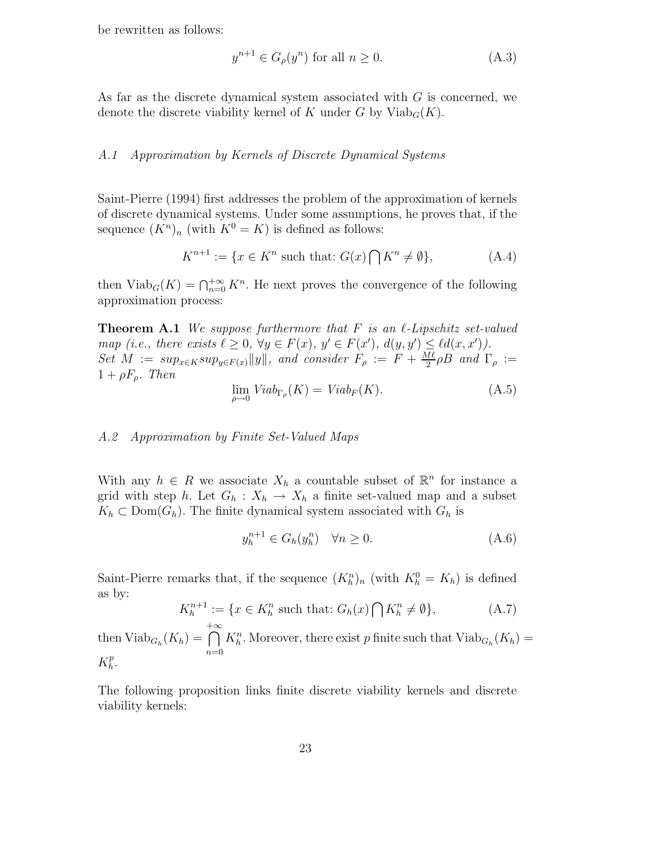be rewritten as follows:

$$
y^{n+1} \in G_{\rho}(y^n) \text{ for all } n \ge 0. \tag{A.3}
$$

As far as the discrete dynamical system associated with G is concerned, we denote the discrete viability kernel of K under G by  $\text{Viab}_G(K)$ .

#### A.1 Approximation by Kernels of Discrete Dynamical Systems

Saint-Pierre (1994) first addresses the problem of the approximation of kernels of discrete dynamical systems. Under some assumptions, he proves that, if the sequence  $(K^n)_n$  (with  $K^0 = K$ ) is defined as follows:

$$
K^{n+1} := \{ x \in K^n \text{ such that: } G(x) \bigcap K^n \neq \emptyset \},\tag{A.4}
$$

then  $\text{Viab}_G(K) = \bigcap_{n=0}^{+\infty} K^n$ . He next proves the convergence of the following approximation process:

**Theorem A.1** We suppose furthermore that F is an  $\ell$ -Lipschitz set-valued map (i.e., there exists  $\ell \geq 0$ ,  $\forall y \in F(x)$ ,  $y' \in F(x')$ ,  $d(y, y') \leq \ell d(x, x')$ ). Set  $M := sup_{x \in K} sup_{y \in F(x)} ||y||$ , and consider  $F_{\rho} := F + \frac{Me}{2}$  $\frac{4\ell}{2}\rho B$  and  $\Gamma_\rho :=$  $1 + \rho F_o$ . Then

$$
\lim_{\rho \to 0} V iab_{\Gamma_{\rho}}(K) = V iab_{F}(K). \tag{A.5}
$$

## A.2 Approximation by Finite Set-Valued Maps

With any  $h \in R$  we associate  $X_h$  a countable subset of  $\mathbb{R}^n$  for instance a grid with step h. Let  $G_h: X_h \to X_h$  a finite set-valued map and a subset  $K_h \subset \text{Dom}(G_h)$ . The finite dynamical system associated with  $G_h$  is

$$
y_h^{n+1} \in G_h(y_h^n) \quad \forall n \ge 0. \tag{A.6}
$$

Saint-Pierre remarks that, if the sequence  $(K_h^n)_n$  (with  $K_h^0 = K_h$ ) is defined as by:

$$
K_h^{n+1} := \{ x \in K_h^n \text{ such that: } G_h(x) \bigcap K_h^n \neq \emptyset \},\tag{A.7}
$$

then  $\text{Viab}_{G_h}(K_h) =$  $\bigcap^{+\infty}$  $n=0$  $K_h^n$ . Moreover, there exist p finite such that  $\text{Viab}_{G_h}(K_h) =$  $K_h^p$  $\frac{p}{h}$ .

The following proposition links finite discrete viability kernels and discrete viability kernels: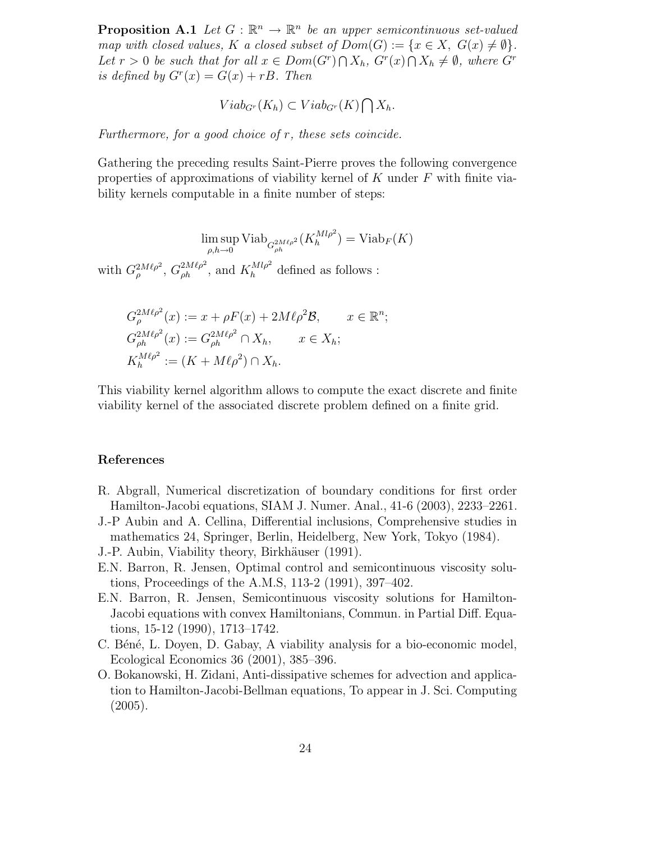**Proposition A.1** Let  $G : \mathbb{R}^n \to \mathbb{R}^n$  be an upper semicontinuous set-valued map with closed values, K a closed subset of  $Dom(G) := \{x \in X, G(x) \neq \emptyset\}.$ Let  $r > 0$  be such that for all  $x \in Dom(G^r) \cap X_h$ ,  $G^r(x) \cap X_h \neq \emptyset$ , where  $G^r$ is defined by  $G<sup>r</sup>(x) = G(x) + rB$ . Then

$$
Viab_{G^r}(K_h) \subset Viab_{G^r}(K) \bigcap X_h.
$$

Furthermore, for a good choice of r, these sets coincide.

Gathering the preceding results Saint-Pierre proves the following convergence properties of approximations of viability kernel of K under  $F$  with finite viability kernels computable in a finite number of steps:

> lim sup  $\max_{\rho,h\to 0} \mathrm{Viab}_{G_{\rho h}^{2M\ell \rho^2}}(K_{h}^{Ml\rho^2})$  $h^{(Ml\rho^2)}$  = Viab<sub>F</sub>(K)

with  $G_{\rho}^{2M\ell\rho^2}$ ,  $G_{\rho h}^{2M\ell\rho^2}$ , and  $K_h^{Ml\rho^2}$  defined as follows :

$$
G_{\rho}^{2M\ell\rho^2}(x) := x + \rho F(x) + 2M\ell\rho^2 \mathcal{B}, \qquad x \in \mathbb{R}^n;
$$
  
\n
$$
G_{\rho h}^{2M\ell\rho^2}(x) := G_{\rho h}^{2M\ell\rho^2} \cap X_h, \qquad x \in X_h;
$$
  
\n
$$
K_h^{M\ell\rho^2} := (K + M\ell\rho^2) \cap X_h.
$$

This viability kernel algorithm allows to compute the exact discrete and finite viability kernel of the associated discrete problem defined on a finite grid.

#### References

- R. Abgrall, Numerical discretization of boundary conditions for first order Hamilton-Jacobi equations, SIAM J. Numer. Anal., 41-6 (2003), 2233–2261.
- J.-P Aubin and A. Cellina, Differential inclusions, Comprehensive studies in mathematics 24, Springer, Berlin, Heidelberg, New York, Tokyo (1984).
- J.-P. Aubin, Viability theory, Birkhäuser (1991).
- E.N. Barron, R. Jensen, Optimal control and semicontinuous viscosity solutions, Proceedings of the A.M.S, 113-2 (1991), 397–402.
- E.N. Barron, R. Jensen, Semicontinuous viscosity solutions for Hamilton-Jacobi equations with convex Hamiltonians, Commun. in Partial Diff. Equations, 15-12 (1990), 1713–1742.
- C. Béné, L. Doyen, D. Gabay, A viability analysis for a bio-economic model, Ecological Economics 36 (2001), 385–396.
- O. Bokanowski, H. Zidani, Anti-dissipative schemes for advection and application to Hamilton-Jacobi-Bellman equations, To appear in J. Sci. Computing (2005).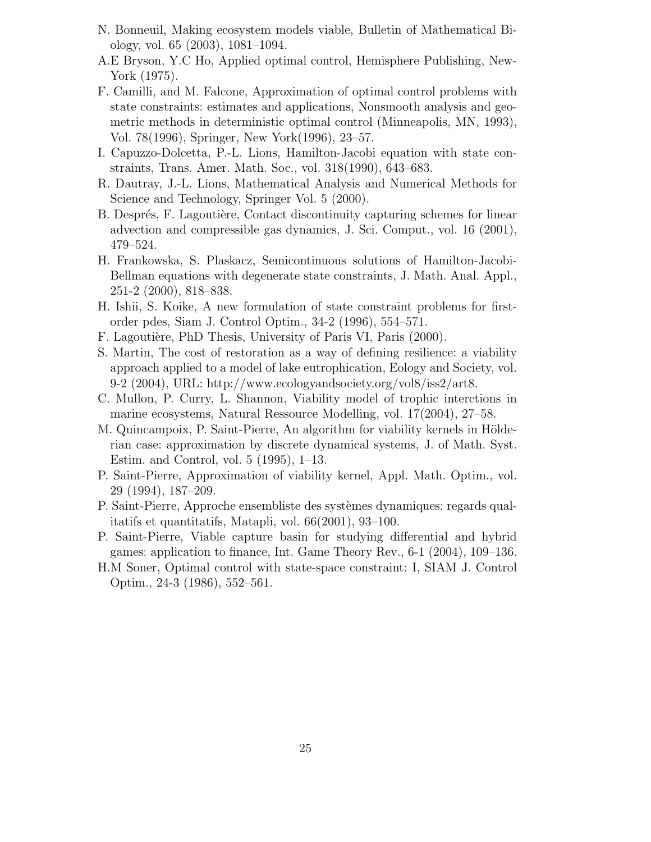- N. Bonneuil, Making ecosystem models viable, Bulletin of Mathematical Biology, vol. 65 (2003), 1081–1094.
- A.E Bryson, Y.C Ho, Applied optimal control, Hemisphere Publishing, New-York (1975).
- F. Camilli, and M. Falcone, Approximation of optimal control problems with state constraints: estimates and applications, Nonsmooth analysis and geometric methods in deterministic optimal control (Minneapolis, MN, 1993), Vol. 78(1996), Springer, New York(1996), 23–57.
- I. Capuzzo-Dolcetta, P.-L. Lions, Hamilton-Jacobi equation with state constraints, Trans. Amer. Math. Soc., vol. 318(1990), 643–683.
- R. Dautray, J.-L. Lions, Mathematical Analysis and Numerical Methods for Science and Technology, Springer Vol. 5 (2000).
- B. Després, F. Lagoutière, Contact discontinuity capturing schemes for linear advection and compressible gas dynamics, J. Sci. Comput., vol. 16 (2001), 479–524.
- H. Frankowska, S. Plaskacz, Semicontinuous solutions of Hamilton-Jacobi-Bellman equations with degenerate state constraints, J. Math. Anal. Appl., 251-2 (2000), 818–838.
- H. Ishii, S. Koike, A new formulation of state constraint problems for firstorder pdes, Siam J. Control Optim., 34-2 (1996), 554–571.
- F. Lagoutière, PhD Thesis, University of Paris VI, Paris (2000).
- S. Martin, The cost of restoration as a way of defining resilience: a viability approach applied to a model of lake eutrophication, Eology and Society, vol. 9-2 (2004), URL: http://www.ecologyandsociety.org/vol8/iss2/art8.
- C. Mullon, P. Curry, L. Shannon, Viability model of trophic interctions in marine ecosystems, Natural Ressource Modelling, vol. 17(2004), 27–58.
- M. Quincampoix, P. Saint-Pierre, An algorithm for viability kernels in Hölderian case: approximation by discrete dynamical systems, J. of Math. Syst. Estim. and Control, vol. 5 (1995), 1–13.
- P. Saint-Pierre, Approximation of viability kernel, Appl. Math. Optim., vol. 29 (1994), 187–209.
- P. Saint-Pierre, Approche ensembliste des systèmes dynamiques: regards qualitatifs et quantitatifs, Matapli, vol. 66(2001), 93–100.
- P. Saint-Pierre, Viable capture basin for studying differential and hybrid games: application to finance, Int. Game Theory Rev., 6-1 (2004), 109–136.
- H.M Soner, Optimal control with state-space constraint: I, SIAM J. Control Optim., 24-3 (1986), 552–561.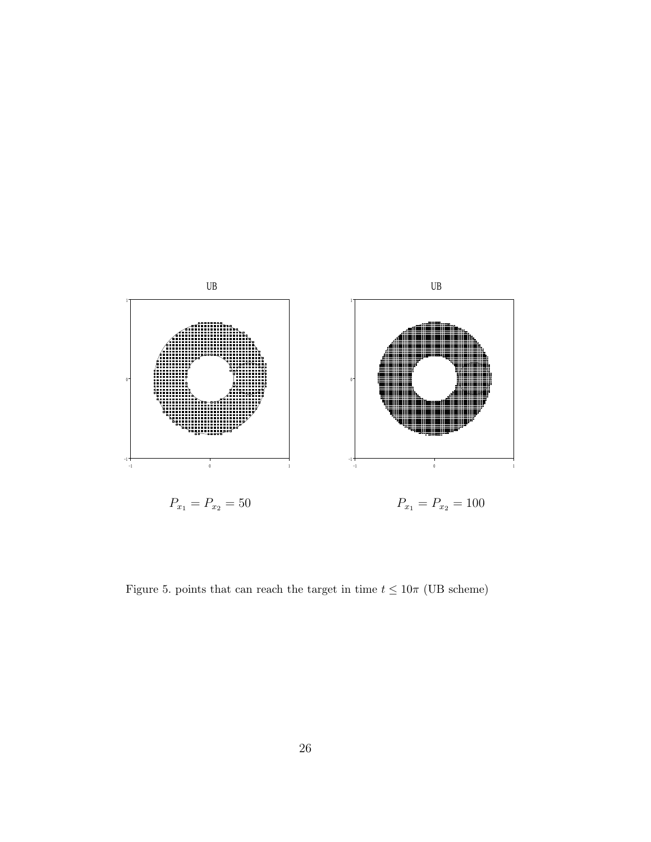

Figure 5. points that can reach the target in time  $t \leq 10\pi$  (UB scheme)